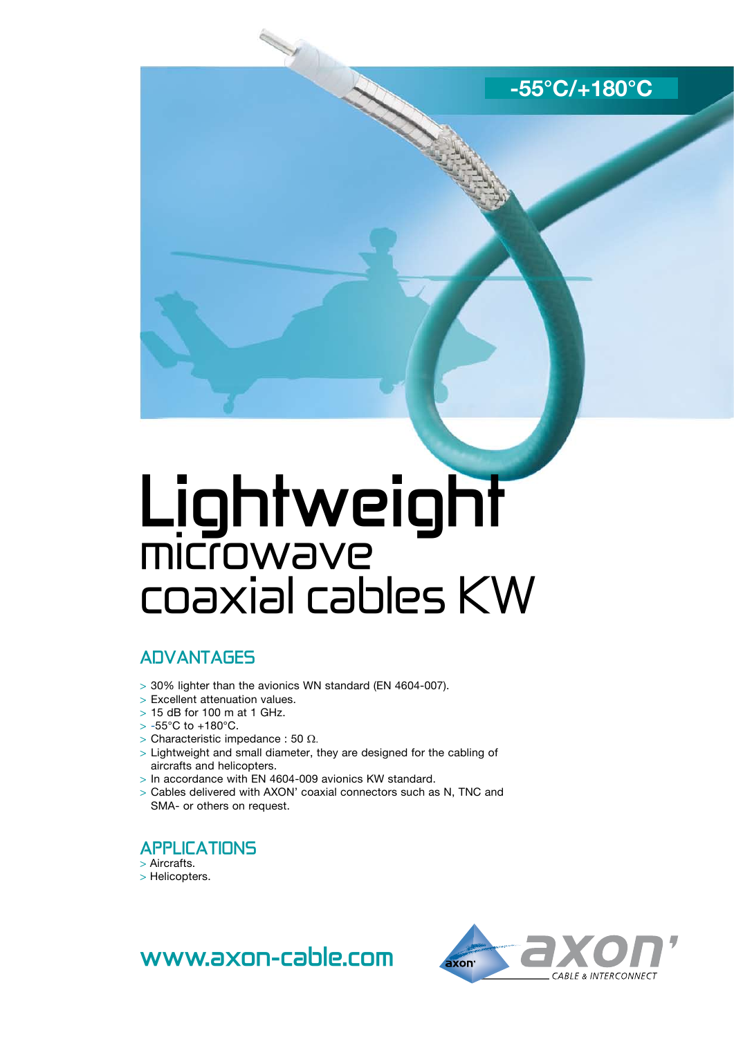**-55°C/+180°C**

# **Lightweight** microwave coaxial cables KW

## **advantages**

- > 30% lighter than the avionics WN standard (EN 4604-007).
- > Excellent attenuation values.
- > 15 dB for 100 m at 1 GHz.
- $> -55^{\circ}$ C to  $+180^{\circ}$ C.
- $>$  Characteristic impedance : 50 Ω.
- > Lightweight and small diameter, they are designed for the cabling of aircrafts and helicopters.
- > In accordance with EN 4604-009 avionics KW standard.
- > Cables delivered with AXON' coaxial connectors such as N, TNC and SMA- or others on request.

## **APPLICATIONS**

- > Aircrafts.
- > Helicopters.